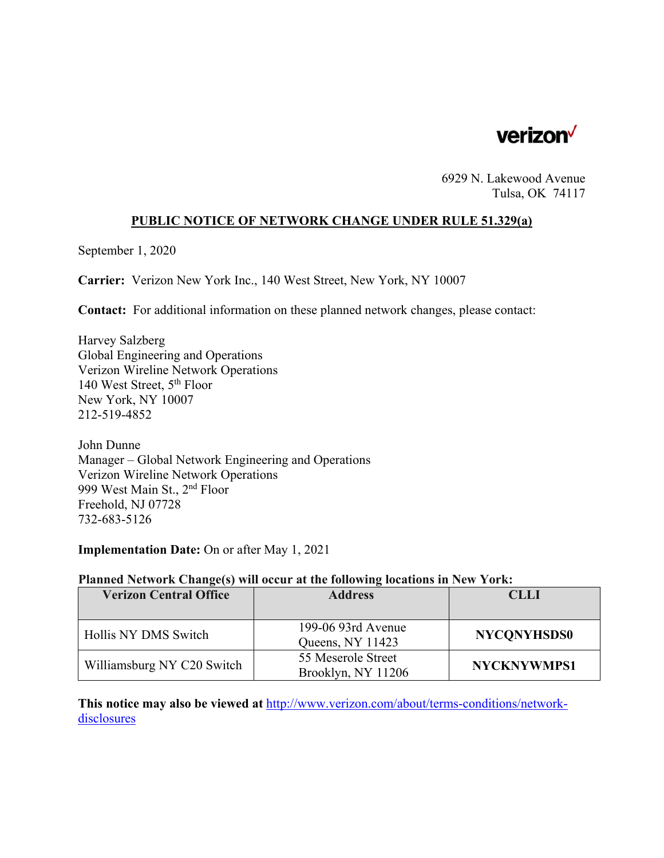

6929 N. Lakewood Avenue Tulsa, OK 74117

#### **PUBLIC NOTICE OF NETWORK CHANGE UNDER RULE 51.329(a)**

September 1, 2020

**Carrier:** Verizon New York Inc., 140 West Street, New York, NY 10007

**Contact:** For additional information on these planned network changes, please contact:

Harvey Salzberg Global Engineering and Operations Verizon Wireline Network Operations 140 West Street, 5<sup>th</sup> Floor New York, NY 10007 212-519-4852

John Dunne Manager – Global Network Engineering and Operations Verizon Wireline Network Operations 999 West Main St., 2<sup>nd</sup> Floor Freehold, NJ 07728 732-683-5126

**Implementation Date:** On or after May 1, 2021

#### **Planned Network Change(s) will occur at the following locations in New York:**

| <b>Verizon Central Office</b> | <b>Address</b>     | <b>CLLI</b>        |
|-------------------------------|--------------------|--------------------|
|                               |                    |                    |
| Hollis NY DMS Switch          | 199-06 93rd Avenue | <b>NYCONYHSDS0</b> |
|                               | Queens, NY 11423   |                    |
| Williamsburg NY C20 Switch    | 55 Meserole Street | <b>NYCKNYWMPS1</b> |
|                               | Brooklyn, NY 11206 |                    |

**This notice may also be viewed at** http://www.verizon.com/about/terms-conditions/networkdisclosures